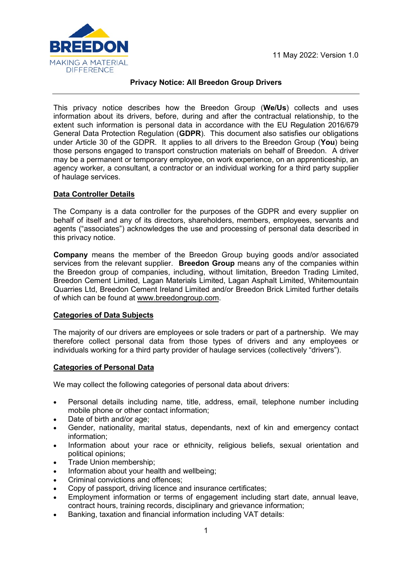

# **Privacy Notice: All Breedon Group Drivers**

This privacy notice describes how the Breedon Group (**We/Us**) collects and uses information about its drivers, before, during and after the contractual relationship, to the extent such information is personal data in accordance with the EU Regulation 2016/679 General Data Protection Regulation (**GDPR**). This document also satisfies our obligations under Article 30 of the GDPR. It applies to all drivers to the Breedon Group (**You**) being those persons engaged to transport construction materials on behalf of Breedon. A driver may be a permanent or temporary employee, on work experience, on an apprenticeship, an agency worker, a consultant, a contractor or an individual working for a third party supplier of haulage services.

# **Data Controller Details**

The Company is a data controller for the purposes of the GDPR and every supplier on behalf of itself and any of its directors, shareholders, members, employees, servants and agents ("associates") acknowledges the use and processing of personal data described in this privacy notice.

**Company** means the member of the Breedon Group buying goods and/or associated services from the relevant supplier. **Breedon Group** means any of the companies within the Breedon group of companies, including, without limitation, Breedon Trading Limited, Breedon Cement Limited, Lagan Materials Limited, Lagan Asphalt Limited, Whitemountain Quarries Ltd, Breedon Cement Ireland Limited and/or Breedon Brick Limited further details of which can be found at [www.breedongroup.com.](http://www.breedongroup.com/)

## **Categories of Data Subjects**

The majority of our drivers are employees or sole traders or part of a partnership. We may therefore collect personal data from those types of drivers and any employees or individuals working for a third party provider of haulage services (collectively "drivers").

## **Categories of Personal Data**

We may collect the following categories of personal data about drivers:

- Personal details including name, title, address, email, telephone number including mobile phone or other contact information;
- Date of birth and/or age;
- Gender, nationality, marital status, dependants, next of kin and emergency contact information;
- Information about your race or ethnicity, religious beliefs, sexual orientation and political opinions;
- Trade Union membership;
- Information about your health and wellbeing;
- Criminal convictions and offences:
- Copy of passport, driving licence and insurance certificates;
- Employment information or terms of engagement including start date, annual leave, contract hours, training records, disciplinary and grievance information;
- Banking, taxation and financial information including VAT details: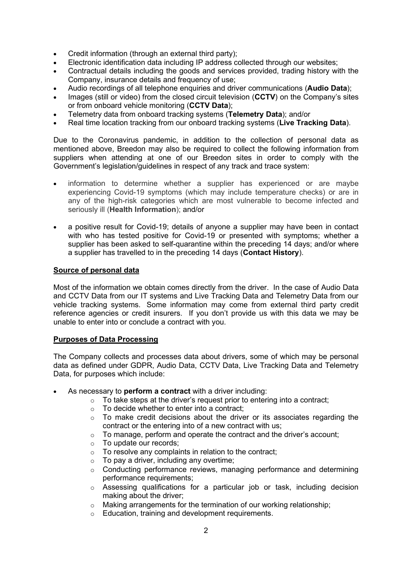- Credit information (through an external third party);
- Electronic identification data including IP address collected through our websites;
- Contractual details including the goods and services provided, trading history with the Company, insurance details and frequency of use;
- Audio recordings of all telephone enquiries and driver communications (**Audio Data**);
- Images (still or video) from the closed circuit television (**CCTV**) on the Company's sites or from onboard vehicle monitoring (**CCTV Data**);
- Telemetry data from onboard tracking systems (**Telemetry Data**); and/or
- Real time location tracking from our onboard tracking systems (**Live Tracking Data**).

Due to the Coronavirus pandemic, in addition to the collection of personal data as mentioned above, Breedon may also be required to collect the following information from suppliers when attending at one of our Breedon sites in order to comply with the Government's legislation/guidelines in respect of any track and trace system:

- information to determine whether a supplier has experienced or are maybe experiencing Covid-19 symptoms (which may include temperature checks) or are in any of the high-risk categories which are most vulnerable to become infected and seriously ill (**Health Information**); and/or
- a positive result for Covid-19; details of anyone a supplier may have been in contact with who has tested positive for Covid-19 or presented with symptoms; whether a supplier has been asked to self-quarantine within the preceding 14 days; and/or where a supplier has travelled to in the preceding 14 days (**Contact History**).

### **Source of personal data**

Most of the information we obtain comes directly from the driver. In the case of Audio Data and CCTV Data from our IT systems and Live Tracking Data and Telemetry Data from our vehicle tracking systems. Some information may come from external third party credit reference agencies or credit insurers. If you don't provide us with this data we may be unable to enter into or conclude a contract with you.

## **Purposes of Data Processing**

The Company collects and processes data about drivers, some of which may be personal data as defined under GDPR, Audio Data, CCTV Data, Live Tracking Data and Telemetry Data, for purposes which include:

- As necessary to **perform a contract** with a driver including:
	- o To take steps at the driver's request prior to entering into a contract;
	- $\circ$  To decide whether to enter into a contract:
	- $\circ$  To make credit decisions about the driver or its associates regarding the contract or the entering into of a new contract with us;
	- o To manage, perform and operate the contract and the driver's account;
	- o To update our records;
	- $\circ$  To resolve any complaints in relation to the contract;
	- $\circ$  To pay a driver, including any overtime;
	- o Conducting performance reviews, managing performance and determining performance requirements;
	- $\circ$  Assessing qualifications for a particular job or task, including decision making about the driver;
	- $\circ$  Making arrangements for the termination of our working relationship;
	- o Education, training and development requirements.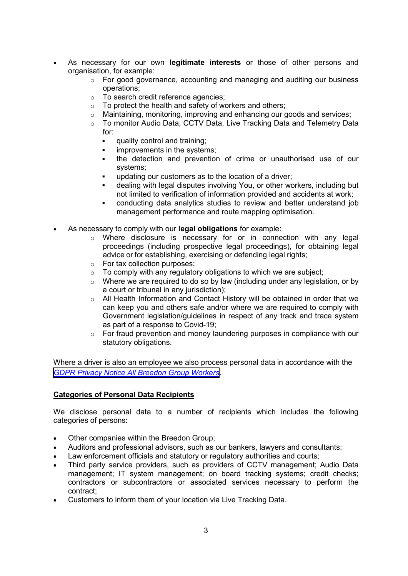- As necessary for our own **legitimate interests** or those of other persons and organisation, for example:
	- o For good governance, accounting and managing and auditing our business operations;
	- o To search credit reference agencies;
	- o To protect the health and safety of workers and others;
	- $\circ$  Maintaining, monitoring, improving and enhancing our goods and services;
	- o To monitor Audio Data, CCTV Data, Live Tracking Data and Telemetry Data for:
		- quality control and training;
		- improvements in the systems;
		- the detection and prevention of crime or unauthorised use of our systems;
		- updating our customers as to the location of a driver;
		- dealing with legal disputes involving You, or other workers, including but not limited to verification of information provided and accidents at work;
		- conducting data analytics studies to review and better understand job management performance and route mapping optimisation.
- As necessary to comply with our **legal obligations** for example:
	- o Where disclosure is necessary for or in connection with any legal proceedings (including prospective legal proceedings), for obtaining legal advice or for establishing, exercising or defending legal rights;
	- o For tax collection purposes;
	- $\circ$  To comply with any regulatory obligations to which we are subject;
	- o Where we are required to do so by law (including under any legislation, or by a court or tribunal in any jurisdiction);
	- o All Health Information and Contact History will be obtained in order that we can keep you and others safe and/or where we are required to comply with Government legislation/guidelines in respect of any track and trace system as part of a response to Covid-19;
	- o For fraud prevention and money laundering purposes in compliance with our statutory obligations.

Where a driver is also an employee we also process personal data in accordance with the *[GDPR Privacy Notice All Breedon Group Workers](https://www.breedongroup.com/images/uploads/ce_files/GDPR_Privacy_Notice_All_Breedon_Group_Workers_-_1_April_2021_v_4.0.pdf)*.

## **Categories of Personal Data Recipients**

We disclose personal data to a number of recipients which includes the following categories of persons:

- Other companies within the Breedon Group;
- Auditors and professional advisors, such as our bankers, lawyers and consultants;
- Law enforcement officials and statutory or regulatory authorities and courts;
- Third party service providers, such as providers of CCTV management; Audio Data management; IT system management; on board tracking systems; credit checks; contractors or subcontractors or associated services necessary to perform the contract;
- Customers to inform them of your location via Live Tracking Data.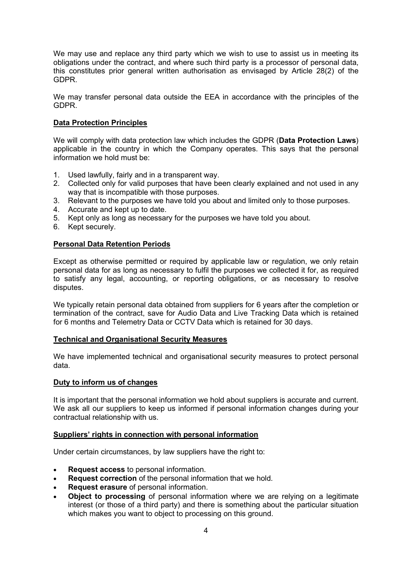We may use and replace any third party which we wish to use to assist us in meeting its obligations under the contract, and where such third party is a processor of personal data, this constitutes prior general written authorisation as envisaged by Article 28(2) of the GDPR.

We may transfer personal data outside the EEA in accordance with the principles of the GDPR.

### **Data Protection Principles**

We will comply with data protection law which includes the GDPR (**Data Protection Laws**) applicable in the country in which the Company operates. This says that the personal information we hold must be:

- 1. Used lawfully, fairly and in a transparent way.
- 2. Collected only for valid purposes that have been clearly explained and not used in any way that is incompatible with those purposes.
- 3. Relevant to the purposes we have told you about and limited only to those purposes.
- 4. Accurate and kept up to date.
- 5. Kept only as long as necessary for the purposes we have told you about.
- 6. Kept securely.

### **Personal Data Retention Periods**

Except as otherwise permitted or required by applicable law or regulation, we only retain personal data for as long as necessary to fulfil the purposes we collected it for, as required to satisfy any legal, accounting, or reporting obligations, or as necessary to resolve disputes.

We typically retain personal data obtained from suppliers for 6 years after the completion or termination of the contract, save for Audio Data and Live Tracking Data which is retained for 6 months and Telemetry Data or CCTV Data which is retained for 30 days.

#### **Technical and Organisational Security Measures**

We have implemented technical and organisational security measures to protect personal data.

#### **Duty to inform us of changes**

It is important that the personal information we hold about suppliers is accurate and current. We ask all our suppliers to keep us informed if personal information changes during your contractual relationship with us.

#### **Suppliers' rights in connection with personal information**

Under certain circumstances, by law suppliers have the right to:

- **Request access** to personal information.
- **Request correction** of the personal information that we hold.
- **Request erasure** of personal information.
- **Object to processing** of personal information where we are relying on a legitimate interest (or those of a third party) and there is something about the particular situation which makes you want to object to processing on this ground.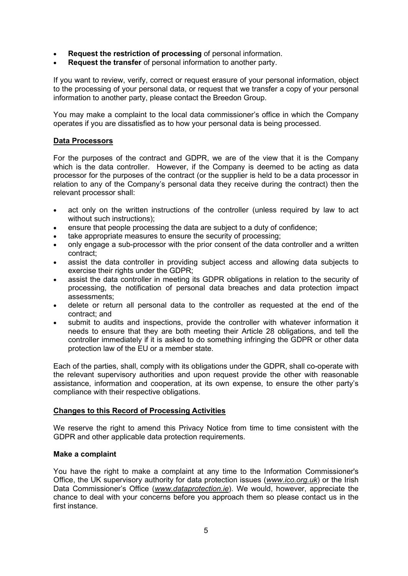- **Request the restriction of processing** of personal information.
- **Request the transfer** of personal information to another party.

If you want to review, verify, correct or request erasure of your personal information, object to the processing of your personal data, or request that we transfer a copy of your personal information to another party, please contact the Breedon Group.

You may make a complaint to the local data commissioner's office in which the Company operates if you are dissatisfied as to how your personal data is being processed.

### **Data Processors**

For the purposes of the contract and GDPR, we are of the view that it is the Company which is the data controller. However, if the Company is deemed to be acting as data processor for the purposes of the contract (or the supplier is held to be a data processor in relation to any of the Company's personal data they receive during the contract) then the relevant processor shall:

- act only on the written instructions of the controller (unless required by law to act without such instructions);
- ensure that people processing the data are subject to a duty of confidence;
- take appropriate measures to ensure the security of processing:
- only engage a sub-processor with the prior consent of the data controller and a written contract;
- assist the data controller in providing subject access and allowing data subjects to exercise their rights under the GDPR;
- assist the data controller in meeting its GDPR obligations in relation to the security of processing, the notification of personal data breaches and data protection impact assessments;
- delete or return all personal data to the controller as requested at the end of the contract; and
- submit to audits and inspections, provide the controller with whatever information it needs to ensure that they are both meeting their Article 28 obligations, and tell the controller immediately if it is asked to do something infringing the GDPR or other data protection law of the EU or a member state.

Each of the parties, shall, comply with its obligations under the GDPR, shall co-operate with the relevant supervisory authorities and upon request provide the other with reasonable assistance, information and cooperation, at its own expense, to ensure the other party's compliance with their respective obligations.

## **Changes to this Record of Processing Activities**

We reserve the right to amend this Privacy Notice from time to time consistent with the GDPR and other applicable data protection requirements.

#### **Make a complaint**

You have the right to make a complaint at any time to the Information Commissioner's Office, the UK supervisory authority for data protection issues (*[www.ico.org.uk](http://www.ico.org.uk/)*) or the Irish Data Commissioner's Office (*www.dataprotection.ie*). We would, however, appreciate the chance to deal with your concerns before you approach them so please contact us in the first instance.